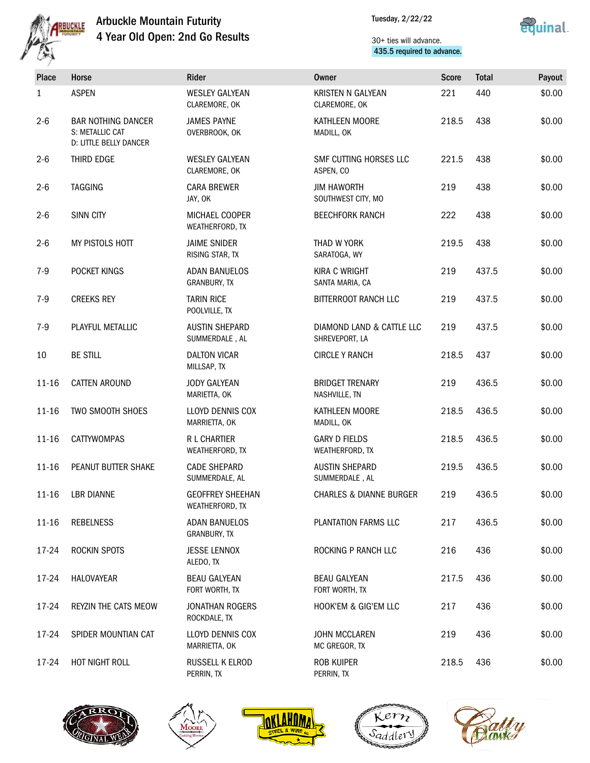



| Place     | Horse                                                                  | Rider                                       | Owner                                       | <b>Score</b> | <b>Total</b> | Payout |
|-----------|------------------------------------------------------------------------|---------------------------------------------|---------------------------------------------|--------------|--------------|--------|
| 1         | <b>ASPEN</b>                                                           | <b>WESLEY GALYEAN</b><br>CLAREMORE, OK      | KRISTEN N GALYEAN<br>CLAREMORE, OK          | 221          | 440          | \$0.00 |
| $2 - 6$   | <b>BAR NOTHING DANCER</b><br>S: METALLIC CAT<br>D: LITTLE BELLY DANCER | <b>JAMES PAYNE</b><br>OVERBROOK, OK         | KATHLEEN MOORE<br>MADILL, OK                | 218.5        | 438          | \$0.00 |
| $2 - 6$   | THIRD EDGE                                                             | <b>WESLEY GALYEAN</b><br>CLAREMORE, OK      | SMF CUTTING HORSES LLC<br>ASPEN. CO         | 221.5        | 438          | \$0.00 |
| $2 - 6$   | <b>TAGGING</b>                                                         | <b>CARA BREWER</b><br>JAY, OK               | <b>JIM HAWORTH</b><br>SOUTHWEST CITY, MO    | 219          | 438          | \$0.00 |
| $2 - 6$   | <b>SINN CITY</b>                                                       | MICHAEL COOPER<br>WEATHERFORD, TX           | <b>BEECHFORK RANCH</b>                      | 222          | 438          | \$0.00 |
| $2 - 6$   | MY PISTOLS HOTT                                                        | <b>JAIME SNIDER</b><br>RISING STAR, TX      | THAD W YORK<br>SARATOGA, WY                 | 219.5        | 438          | \$0.00 |
| $7-9$     | POCKET KINGS                                                           | <b>ADAN BANUELOS</b><br>GRANBURY, TX        | <b>KIRA C WRIGHT</b><br>SANTA MARIA, CA     | 219          | 437.5        | \$0.00 |
| $7-9$     | <b>CREEKS REY</b>                                                      | <b>TARIN RICE</b><br>POOLVILLE, TX          | <b>BITTERROOT RANCH LLC</b>                 | 219          | 437.5        | \$0.00 |
| $7-9$     | PLAYFUL METALLIC                                                       | <b>AUSTIN SHEPARD</b><br>SUMMERDALE, AL     | DIAMOND LAND & CATTLE LLC<br>SHREVEPORT, LA | 219          | 437.5        | \$0.00 |
| 10        | <b>BE STILL</b>                                                        | <b>DALTON VICAR</b><br>MILLSAP, TX          | <b>CIRCLE Y RANCH</b>                       | 218.5        | 437          | \$0.00 |
| $11 - 16$ | <b>CATTEN AROUND</b>                                                   | <b>JODY GALYEAN</b><br>MARIETTA, OK         | <b>BRIDGET TRENARY</b><br>NASHVILLE, TN     | 219          | 436.5        | \$0.00 |
| $11 - 16$ | TWO SMOOTH SHOES                                                       | LLOYD DENNIS COX<br>MARRIETTA, OK           | KATHLEEN MOORE<br>MADILL, OK                | 218.5        | 436.5        | \$0.00 |
| $11 - 16$ | <b>CATTYWOMPAS</b>                                                     | <b>R L CHARTIER</b><br>WEATHERFORD, TX      | <b>GARY D FIELDS</b><br>WEATHERFORD, TX     | 218.5        | 436.5        | \$0.00 |
| $11 - 16$ | PEANUT BUTTER SHAKE                                                    | <b>CADE SHEPARD</b><br>SUMMERDALE, AL       | <b>AUSTIN SHEPARD</b><br>SUMMERDALE, AL     | 219.5        | 436.5        | \$0.00 |
|           | 11-16 LBR DIANNE                                                       | <b>GEOFFREY SHEEHAN</b><br>WEATHERFORD, TX  | <b>CHARLES &amp; DIANNE BURGER</b>          | 219          | 436.5        | \$0.00 |
| $11 - 16$ | <b>REBELNESS</b>                                                       | <b>ADAN BANUELOS</b><br><b>GRANBURY, TX</b> | PLANTATION FARMS LLC                        | 217          | 436.5        | \$0.00 |
| 17-24     | ROCKIN SPOTS                                                           | <b>JESSE LENNOX</b><br>ALEDO, TX            | ROCKING P RANCH LLC                         | 216          | 436          | \$0.00 |
| 17-24     | HALOVAYEAR                                                             | <b>BEAU GALYEAN</b><br>FORT WORTH, TX       | <b>BEAU GALYEAN</b><br>FORT WORTH, TX       | 217.5        | 436          | \$0.00 |
| 17-24     | REYZIN THE CATS MEOW                                                   | <b>JONATHAN ROGERS</b><br>ROCKDALE, TX      | HOOK'EM & GIG'EM LLC                        | 217          | 436          | \$0.00 |
| 17-24     | SPIDER MOUNTIAN CAT                                                    | LLOYD DENNIS COX<br>MARRIETTA, OK           | <b>JOHN MCCLAREN</b><br>MC GREGOR, TX       | 219          | 436          | \$0.00 |
| 17-24     | HOT NIGHT ROLL                                                         | RUSSELL K ELROD<br>PERRIN, TX               | <b>ROB KUIPER</b><br>PERRIN, TX             | 218.5        | 436          | \$0.00 |









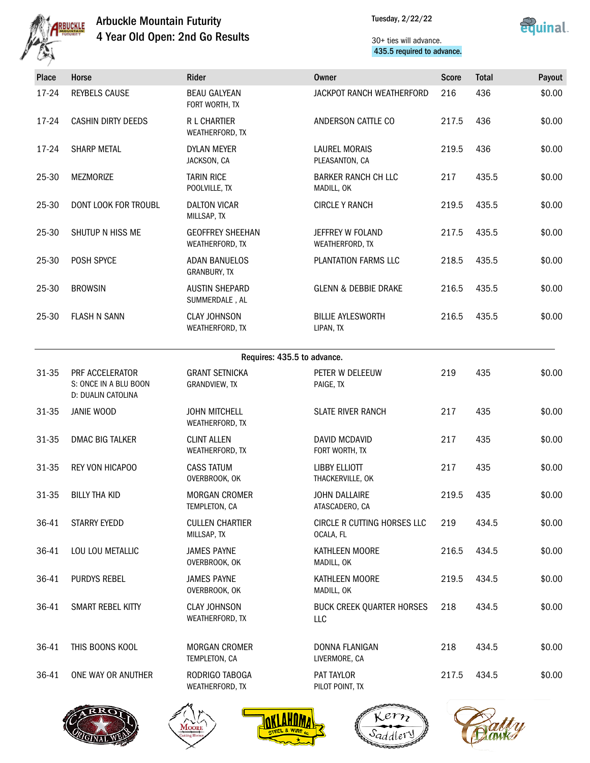

Tuesday, 2/22/22



| فلرعشما |                                                                |                                             |                                          |              |              |        |
|---------|----------------------------------------------------------------|---------------------------------------------|------------------------------------------|--------------|--------------|--------|
| Place   | Horse                                                          | Rider                                       | <b>Owner</b>                             | <b>Score</b> | <b>Total</b> | Payout |
| 17-24   | <b>REYBELS CAUSE</b>                                           | <b>BEAU GALYEAN</b><br>FORT WORTH, TX       | JACKPOT RANCH WEATHERFORD                | 216          | 436          | \$0.00 |
| 17-24   | <b>CASHIN DIRTY DEEDS</b>                                      | R L CHARTIER<br>WEATHERFORD, TX             | ANDERSON CATTLE CO                       | 217.5        | 436          | \$0.00 |
| 17-24   | <b>SHARP METAL</b>                                             | <b>DYLAN MEYER</b><br>JACKSON, CA           | <b>LAUREL MORAIS</b><br>PLEASANTON, CA   | 219.5        | 436          | \$0.00 |
| 25-30   | <b>MEZMORIZE</b>                                               | <b>TARIN RICE</b><br>POOLVILLE, TX          | <b>BARKER RANCH CH LLC</b><br>MADILL, OK | 217          | 435.5        | \$0.00 |
| 25-30   | DONT LOOK FOR TROUBL                                           | <b>DALTON VICAR</b><br>MILLSAP, TX          | <b>CIRCLE Y RANCH</b>                    | 219.5        | 435.5        | \$0.00 |
| 25-30   | SHUTUP N HISS ME                                               | <b>GEOFFREY SHEEHAN</b><br>WEATHERFORD, TX  | JEFFREY W FOLAND<br>WEATHERFORD, TX      | 217.5        | 435.5        | \$0.00 |
| 25-30   | POSH SPYCE                                                     | <b>ADAN BANUELOS</b><br><b>GRANBURY, TX</b> | PLANTATION FARMS LLC                     | 218.5        | 435.5        | \$0.00 |
| 25-30   | <b>BROWSIN</b>                                                 | <b>AUSTIN SHEPARD</b><br>SUMMERDALE, AL     | <b>GLENN &amp; DEBBIE DRAKE</b>          | 216.5        | 435.5        | \$0.00 |
| 25-30   | <b>FLASH N SANN</b>                                            | <b>CLAY JOHNSON</b><br>WEATHERFORD, TX      | <b>BILLIE AYLESWORTH</b><br>LIPAN, TX    | 216.5        | 435.5        | \$0.00 |
|         |                                                                | Requires: 435.5 to advance.                 |                                          |              |              |        |
| 31-35   | PRF ACCELERATOR<br>S: ONCE IN A BLU BOON<br>D: DUALIN CATOLINA | <b>GRANT SETNICKA</b><br>GRANDVIEW, TX      | PETER W DELEEUW<br>PAIGE, TX             | 219          | 435          | \$0.00 |
| 31-35   | JANIE WOOD                                                     | <b>JOHN MITCHELL</b><br>WEATHERFORD, TX     | <b>SLATE RIVER RANCH</b>                 | 217          | 435          | \$0.00 |
| 31-35   | <b>DMAC BIG TALKER</b>                                         | <b>CLINT ALLEN</b><br>WEATHERFORD, TX       | <b>DAVID MCDAVID</b><br>FORT WORTH, TX   | 217          | 435          | \$0.00 |
| 31-35   | REY VON HICAPOO                                                | <b>CASS TATUM</b><br>OVERBROOK, OK          | <b>LIBBY ELLIOTT</b><br>THACKERVILLE, OK | 217          | 435          | \$0.00 |
| 31-35   | <b>BILLY THA KID</b>                                           | <b>MORGAN CROMER</b><br>TEMPLETON, CA       | <b>JOHN DALLAIRE</b><br>ATASCADERO, CA   | 219.5        | 435          | \$0.00 |
| 36-41   | STARRY EYEDD                                                   | <b>CULLEN CHARTIER</b><br>MILLSAP, TX       | CIRCLE R CUTTING HORSES LLC<br>OCALA, FL | 219          | 434.5        | \$0.00 |
| 36-41   | LOU LOU METALLIC                                               | <b>JAMES PAYNE</b><br>OVERBROOK, OK         | KATHLEEN MOORE<br>MADILL, OK             | 216.5        | 434.5        | \$0.00 |
| 36-41   | PURDYS REBEL                                                   | <b>JAMES PAYNE</b><br>OVERBROOK, OK         | KATHLEEN MOORE<br>MADILL, OK             | 219.5        | 434.5        | \$0.00 |
| 36-41   | SMART REBEL KITTY                                              | <b>CLAY JOHNSON</b><br>WEATHERFORD, TX      | <b>BUCK CREEK QUARTER HORSES</b><br>LLC  | 218          | 434.5        | \$0.00 |
| 36-41   | THIS BOONS KOOL                                                | <b>MORGAN CROMER</b><br>TEMPLETON, CA       | DONNA FLANIGAN<br>LIVERMORE, CA          | 218          | 434.5        | \$0.00 |
| 36-41   | ONE WAY OR ANUTHER                                             | RODRIGO TABOGA<br>WEATHERFORD, TX           | PAT TAYLOR<br>PILOT POINT, TX            | 217.5        | 434.5        | \$0.00 |
|         |                                                                |                                             |                                          |              |              |        |









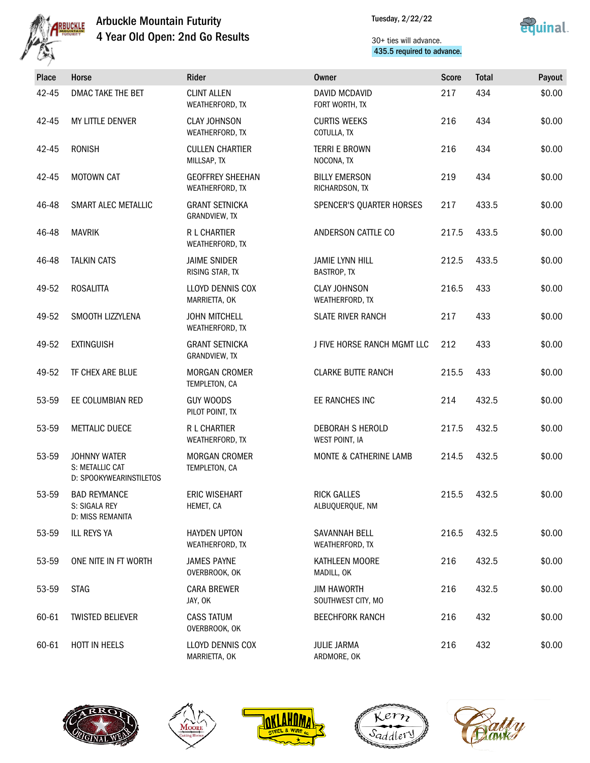

Tuesday, 2/22/22



| Place | Horse                                                             | Rider                                      | <b>Owner</b>                                 | <b>Score</b> | <b>Total</b> | Payout |
|-------|-------------------------------------------------------------------|--------------------------------------------|----------------------------------------------|--------------|--------------|--------|
| 42-45 | DMAC TAKE THE BET                                                 | <b>CLINT ALLEN</b><br>WEATHERFORD, TX      | DAVID MCDAVID<br>FORT WORTH, TX              | 217          | 434          | \$0.00 |
| 42-45 | MY LITTLE DENVER                                                  | <b>CLAY JOHNSON</b><br>WEATHERFORD, TX     | <b>CURTIS WEEKS</b><br>COTULLA, TX           | 216          | 434          | \$0.00 |
| 42-45 | <b>RONISH</b>                                                     | <b>CULLEN CHARTIER</b><br>MILLSAP, TX      | TERRI E BROWN<br>NOCONA, TX                  | 216          | 434          | \$0.00 |
| 42-45 | <b>MOTOWN CAT</b>                                                 | <b>GEOFFREY SHEEHAN</b><br>WEATHERFORD, TX | <b>BILLY EMERSON</b><br>RICHARDSON, TX       | 219          | 434          | \$0.00 |
| 46-48 | SMART ALEC METALLIC                                               | <b>GRANT SETNICKA</b><br>GRANDVIEW, TX     | SPENCER'S QUARTER HORSES                     | 217          | 433.5        | \$0.00 |
| 46-48 | <b>MAVRIK</b>                                                     | <b>R L CHARTIER</b><br>WEATHERFORD, TX     | ANDERSON CATTLE CO                           | 217.5        | 433.5        | \$0.00 |
| 46-48 | <b>TALKIN CATS</b>                                                | <b>JAIME SNIDER</b><br>RISING STAR, TX     | <b>JAMIE LYNN HILL</b><br><b>BASTROP, TX</b> | 212.5        | 433.5        | \$0.00 |
| 49-52 | <b>ROSALITTA</b>                                                  | LLOYD DENNIS COX<br>MARRIETTA, OK          | <b>CLAY JOHNSON</b><br>WEATHERFORD, TX       | 216.5        | 433          | \$0.00 |
| 49-52 | SMOOTH LIZZYLENA                                                  | <b>JOHN MITCHELL</b><br>WEATHERFORD, TX    | SLATE RIVER RANCH                            | 217          | 433          | \$0.00 |
| 49-52 | <b>EXTINGUISH</b>                                                 | <b>GRANT SETNICKA</b><br>GRANDVIEW, TX     | J FIVE HORSE RANCH MGMT LLC                  | 212          | 433          | \$0.00 |
| 49-52 | TF CHEX ARE BLUE                                                  | <b>MORGAN CROMER</b><br>TEMPLETON, CA      | <b>CLARKE BUTTE RANCH</b>                    | 215.5        | 433          | \$0.00 |
| 53-59 | EE COLUMBIAN RED                                                  | <b>GUY WOODS</b><br>PILOT POINT, TX        | EE RANCHES INC                               | 214          | 432.5        | \$0.00 |
| 53-59 | <b>METTALIC DUECE</b>                                             | <b>R L CHARTIER</b><br>WEATHERFORD, TX     | <b>DEBORAH S HEROLD</b><br>WEST POINT, IA    | 217.5        | 432.5        | \$0.00 |
| 53-59 | <b>JOHNNY WATER</b><br>S: METALLIC CAT<br>D: SPOOKYWEARINSTILETOS | <b>MORGAN CROMER</b><br>TEMPLETON, CA      | MONTE & CATHERINE LAMB                       | 214.5        | 432.5        | \$0.00 |
| 53-59 | <b>BAD REYMANCE</b><br>S: SIGALA REY<br>D: MISS REMANITA          | ERIC WISEHART<br>HEMET, CA                 | <b>RICK GALLES</b><br>ALBUQUERQUE, NM        | 215.5        | 432.5        | \$0.00 |
| 53-59 | ILL REYS YA                                                       | <b>HAYDEN UPTON</b><br>WEATHERFORD, TX     | SAVANNAH BELL<br>WEATHERFORD, TX             | 216.5        | 432.5        | \$0.00 |
| 53-59 | ONE NITE IN FT WORTH                                              | <b>JAMES PAYNE</b><br>OVERBROOK, OK        | KATHLEEN MOORE<br>MADILL, OK                 | 216          | 432.5        | \$0.00 |
| 53-59 | <b>STAG</b>                                                       | <b>CARA BREWER</b><br>JAY, OK              | <b>JIM HAWORTH</b><br>SOUTHWEST CITY, MO     | 216          | 432.5        | \$0.00 |
| 60-61 | <b>TWISTED BELIEVER</b>                                           | <b>CASS TATUM</b><br>OVERBROOK, OK         | <b>BEECHFORK RANCH</b>                       | 216          | 432          | \$0.00 |
| 60-61 | HOTT IN HEELS                                                     | LLOYD DENNIS COX<br>MARRIETTA, OK          | <b>JULIE JARMA</b><br>ARDMORE, OK            | 216          | 432          | \$0.00 |









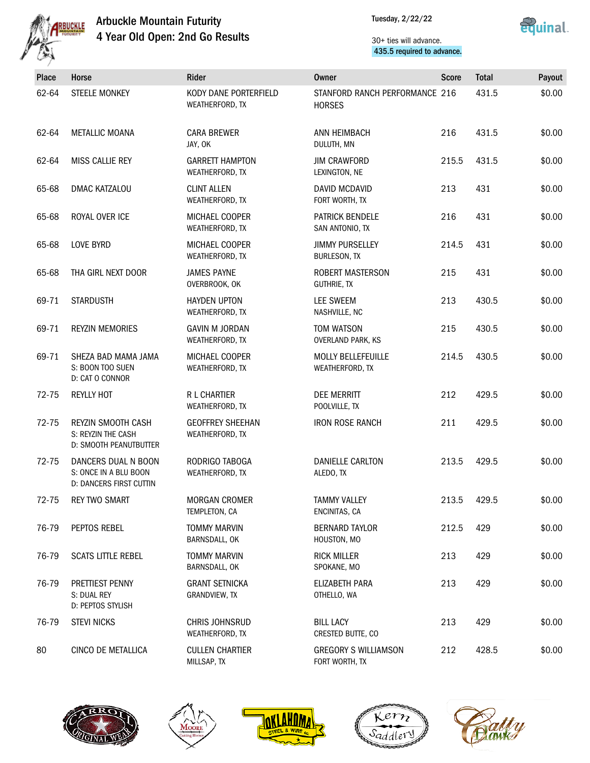



| Place     | Horse                                                                   | Rider                                      | <b>Owner</b>                                    | <b>Score</b> | <b>Total</b> | Payout |
|-----------|-------------------------------------------------------------------------|--------------------------------------------|-------------------------------------------------|--------------|--------------|--------|
| 62-64     | <b>STEELE MONKEY</b>                                                    | KODY DANE PORTERFIELD<br>WEATHERFORD, TX   | STANFORD RANCH PERFORMANCE 216<br><b>HORSES</b> |              | 431.5        | \$0.00 |
| 62-64     | <b>METALLIC MOANA</b>                                                   | <b>CARA BREWER</b><br>JAY, OK              | ANN HEIMBACH<br>DULUTH, MN                      | 216          | 431.5        | \$0.00 |
| 62-64     | <b>MISS CALLIE REY</b>                                                  | <b>GARRETT HAMPTON</b><br>WEATHERFORD, TX  | <b>JIM CRAWFORD</b><br>LEXINGTON, NE            | 215.5        | 431.5        | \$0.00 |
| 65-68     | DMAC KATZALOU                                                           | <b>CLINT ALLEN</b><br>WEATHERFORD, TX      | <b>DAVID MCDAVID</b><br>FORT WORTH, TX          | 213          | 431          | \$0.00 |
| 65-68     | ROYAL OVER ICE                                                          | MICHAEL COOPER<br>WEATHERFORD, TX          | <b>PATRICK BENDELE</b><br>SAN ANTONIO, TX       | 216          | 431          | \$0.00 |
| 65-68     | <b>LOVE BYRD</b>                                                        | <b>MICHAEL COOPER</b><br>WEATHERFORD, TX   | <b>JIMMY PURSELLEY</b><br><b>BURLESON, TX</b>   | 214.5        | 431          | \$0.00 |
| 65-68     | THA GIRL NEXT DOOR                                                      | <b>JAMES PAYNE</b><br>OVERBROOK, OK        | ROBERT MASTERSON<br><b>GUTHRIE, TX</b>          | 215          | 431          | \$0.00 |
| 69-71     | <b>STARDUSTH</b>                                                        | <b>HAYDEN UPTON</b><br>WEATHERFORD, TX     | <b>LEE SWEEM</b><br>NASHVILLE, NC               | 213          | 430.5        | \$0.00 |
| 69-71     | <b>REYZIN MEMORIES</b>                                                  | <b>GAVIN M JORDAN</b><br>WEATHERFORD, TX   | <b>TOM WATSON</b><br><b>OVERLAND PARK, KS</b>   | 215          | 430.5        | \$0.00 |
| 69-71     | SHEZA BAD MAMA JAMA<br>S: BOON TOO SUEN<br>D: CAT O CONNOR              | MICHAEL COOPER<br>WEATHERFORD, TX          | <b>MOLLY BELLEFEUILLE</b><br>WEATHERFORD, TX    | 214.5        | 430.5        | \$0.00 |
| 72-75     | <b>REYLLY HOT</b>                                                       | R L CHARTIER<br>WEATHERFORD, TX            | <b>DEE MERRITT</b><br>POOLVILLE, TX             | 212          | 429.5        | \$0.00 |
| 72-75     | REYZIN SMOOTH CASH<br>S: REYZIN THE CASH<br>D: SMOOTH PEANUTBUTTER      | <b>GEOFFREY SHEEHAN</b><br>WEATHERFORD, TX | <b>IRON ROSE RANCH</b>                          | 211          | 429.5        | \$0.00 |
| $72 - 75$ | DANCERS DUAL N BOON<br>S: ONCE IN A BLU BOON<br>D: DANCERS FIRST CUTTIN | RODRIGO TABOGA<br>WEATHERFORD, TX          | DANIELLE CARLTON<br>ALEDO, TX                   | 213.5        | 429.5        | \$0.00 |
| 72-75     | <b>REY TWO SMART</b>                                                    | MORGAN CROMER<br>TEMPLETON, CA             | <b>TAMMY VALLEY</b><br>ENCINITAS, CA            | 213.5        | 429.5        | \$0.00 |
| 76-79     | PEPTOS REBEL                                                            | <b>TOMMY MARVIN</b><br>BARNSDALL, OK       | <b>BERNARD TAYLOR</b><br>HOUSTON, MO            | 212.5        | 429          | \$0.00 |
| 76-79     | <b>SCATS LITTLE REBEL</b>                                               | <b>TOMMY MARVIN</b><br>BARNSDALL, OK       | <b>RICK MILLER</b><br>SPOKANE, MO               | 213          | 429          | \$0.00 |
| 76-79     | PRETTIEST PENNY<br>S: DUAL REY<br>D: PEPTOS STYLISH                     | <b>GRANT SETNICKA</b><br>GRANDVIEW, TX     | ELIZABETH PARA<br>OTHELLO, WA                   | 213          | 429          | \$0.00 |
| 76-79     | <b>STEVI NICKS</b>                                                      | CHRIS JOHNSRUD<br>WEATHERFORD, TX          | <b>BILL LACY</b><br>CRESTED BUTTE, CO           | 213          | 429          | \$0.00 |
| 80        | CINCO DE METALLICA                                                      | <b>CULLEN CHARTIER</b><br>MILLSAP, TX      | <b>GREGORY S WILLIAMSON</b><br>FORT WORTH, TX   | 212          | 428.5        | \$0.00 |